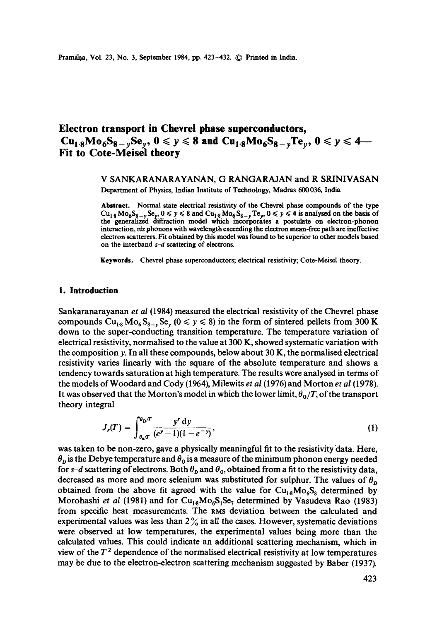Pramana, Vol. 23, No. 3, September 1984, pp. 423-432. © Printed in India.

# **Electron transport in Chevrel phase superconductors,**   $Cu_{1.8}Mo_{6}S_{8-\nu}Se_{\nu}$ ,  $0 \le y \le 8$  and  $Cu_{1.8}Mo_{6}S_{8-\nu}Te_{\nu}$ ,  $0 \le y \le 4-$ **Fit to Cote-Meisel theory**

# V SANKARANARAYANAN, G RANGARAJAN and R SRINIVASAN Department of Physics, Indian Institute of Technology, Madras 600036, India

**Abstract.** Normal state electrical resistivity of the Chevrel phase compounds of the type  $Cu_{1.8} Mo_{6}S_{8-y}Se_{y}$ ,  $0 \le y \le 8$  and  $Cu_{1.8}Mo_{6}S_{8-y}Te_{y}$ ,  $0 \le y \le 4$  is analysed on the basis of the generalized diffraction model which incorporates a postulate on electron-phonon interaction, *viz* phonons with wavelength exceeding the electron mean-frec path are ineffective electron scatterers. Fit obtained by this model was found to be superior **to other** models based on the interband  $s-d$  scattering of electrons.

**Keywords.** Chevrel phase superconductors; electrical resistivity; Cote-Meisel theory.

#### **1. Introduction**

Sankaranarayanan *et al* (1984) measured the electrical resistivity of the Chevrel phase compounds  $Cu_{1,8} Mo_{6}S_{8-x}Se_{y}$  ( $0 \le y \le 8$ ) in the form of sintered pellets from 300 K down to the super-conducting transition temperature. The temperature variation of electrical resistivity, normalised to the value at 300 K, showed systematic variation with the composition  $y$ . In all these compounds, below about 30 K, the normalised electrical resistivity varies linearly with the square of the absolute temperature and shows a tendency towards saturation at high temperature. The results were analysed in terms of the models of Woodard and Cody (1964), Milewits *et al* (1976) and Morton *et al* (1978). It was observed that the Morton's model in which the lower limit,  $\theta_0/T$ , of the transport theory integral

$$
J_r(T) = \int_{\theta_0/T}^{\theta_0/T} \frac{y^r \, dy}{(e^y - 1)(1 - e^{-y})},\tag{1}
$$

was taken to be non-zero, gave a physically meaningful fit to the resistivity data. Here,  $\theta_p$  is the Debye temperature and  $\theta_0$  is a measure of the minimum phonon energy needed for s-d scattering of electrons. Both  $\theta_{\rm p}$  and  $\theta_{\rm o}$ , obtained from a fit to the resistivity data, decreased as more and more selenium was substituted for sulphur. The values of  $\theta_p$ obtained from the above fit agreed with the value for  $Cu_{18}Mo_{6}S_{8}$  determined by Morohashi *et al* (1981) and for  $Cu_{18}Mo_{6}S_{1}Se_{7}$  determined by Vasudeva Rao (1983) from specific heat measurements. The RMS deviation between the calculated and experimental values was less than  $2\%$  in all the cases. However, systematic deviations were observed at low temperatures, the experimental values being more than the calculated values. This could indicate an additional scattering mechanism, which in view of the  $T<sup>2</sup>$  dependence of the normalised electrical resistivity at low temperatures may be due to the electron-electron scattering mechanism suggested by Baber (1937).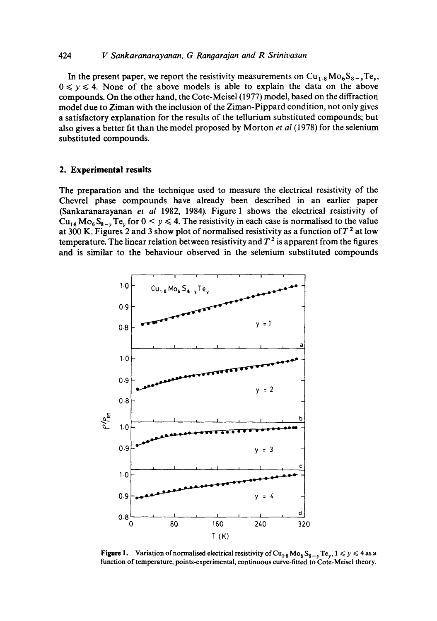# 424 *V Sankaranarayanan, G Rangarajan and R Srinivasan*

In the present paper, we report the resistivity measurements on  $Cu<sub>1.8</sub>Mo<sub>6</sub>S<sub>8-<sub>v</sub></sub>Te<sub>v</sub>$ ,  $0 \le y \le 4$ . None of the above models is able to explain the data on the above compounds. On the other hand, the Cote-Meisel (1977) model, based on the diffraction model due to Ziman with the inclusion of the Ziman-Pippard condition, not only gives a satisfactory explanation for the results of the tellurium substituted compounds; but also gives a better fit than the model proposed by Morton *et al* (1978) for the selenium substituted compounds.

#### **2. Experimental results**

The preparation and the technique used to measure the electrical resistivity of the Chevrel phase compounds have already been described in an earlier paper (Sankaranarayanan *et al* 1982, 1984). Figure 1 shows the electrical resistivity of  $Cu_{18} Mo_{6}S_{8-y}Te_{y}$  for  $0 \le y \le 4$ . The resistivity in each case is normalised to the value at 300 K. Figures 2 and 3 show plot of normalised resistivity as a function of  $T^2$  at low temperature. The linear relation between resistivity and  $T^2$  is apparent from the figures and is similar to the behaviour observed in the selenium substituted compounds



**Figure 1.** Variation of normalised electrical resistivity of  $Cu_{1.8} Mo_{6}S_{8-y}Te_{y}$ ,  $1 \le y \le 4$  as a function of temperature, points-experimental, continuous curve-fitted to Cote-Meisel theory.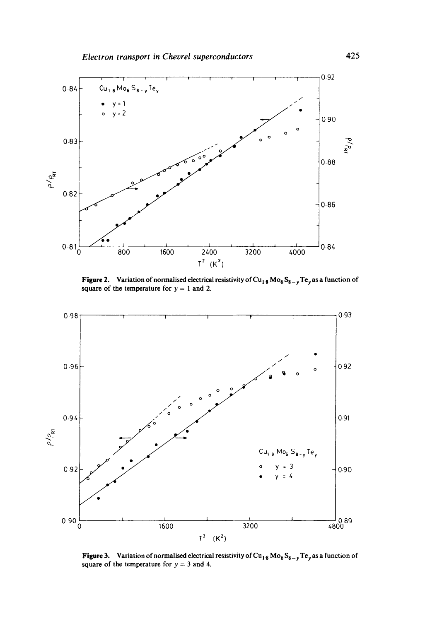

**Figure 2.** Variation of normalised electrical resistivity of Cu<sub>1.8</sub> Mo<sub>6</sub>S<sub>8 – y</sub> Te<sub>y</sub> as a function of square of the temperature for  $y = 1$  and 2.



**Figure 3.** Variation of normalised electrical resistivity of Cu<sub>18</sub> Mo<sub>6</sub> S<sub>8-y</sub> Te<sub>y</sub> as a function of square of the temperature for  $y = 3$  and 4.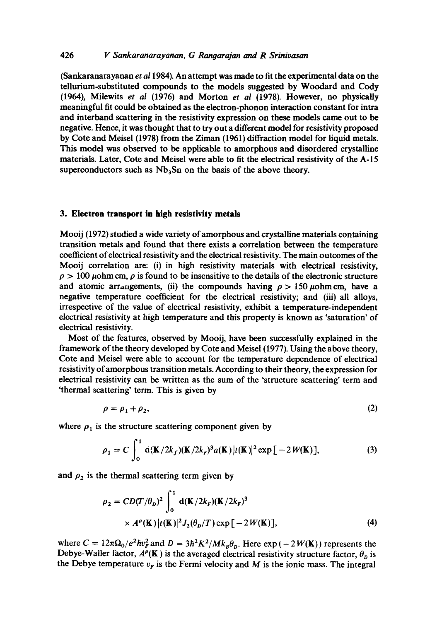# 426 *V Sankaranarayanan, G Ranoarajan and R Srinivasan*

(Sankaranarayanan *et a11984).* An attempt was made to fit the experimental data on the tellurium-substituted compounds to the models suggested by Woodard and Cody (1964), Milewits *et al* (1976) and Morton *et al* (1978). However, no physically meaningful fit could be obtained as the electron-phonon interaction constant for intra and interband scattering in the resistivity expression on these models came out to be negative. Hence, it was thought that to try out a different model for resistivity proposed by Cote and Meisel (1978) from the Ziman (1961) diffraction model for liquid metals. This model was observed to be applicable to amorphous and disordered crystalline materials. Later, Cote and Meisel were able to fit the electrical resistivity of the A-15 superconductors such as  $Nb<sub>3</sub>Sn$  on the basis of the above theory.

#### **3. Electron transport in high resistivity metals**

Mooij (1972) studied a wide variety of amorphous and crystalline materials containing transition metals and found that there exists a correlation between the temperature coefficient of electrical resistivity and the electrical resistivity. The main outcomes of the Mooij correlation are: (i) in high resistivity materials with electrical resistivity,  $\rho > 100 \mu \text{ohm cm}$ ,  $\rho$  is found to be insensitive to the details of the electronic structure and atomic arrangements, (ii) the compounds having  $\rho > 150 \mu \text{ohm cm}$ , have a negative temperature coefficient for the electrical resistivity; and (iii) all alloys, irrespective of the value of electrical resistivity, exhibit a temperature-independent electrical resistivity at high temperature and this property is known as 'saturation' of electrical resistivity.

Most of the features, observed by Mooij, have been successfully explained in the framework of the theory developed by Cote and Meisel (1977). Using the above theory, Cote and Meisel were able to account for the temperature dependence of electrical resistivity of amorphous transition metals. According to their theory, the expression for electrical resistivity can be written as the sum of the 'structure scattering' term and 'thermal scattering' term. This is given by

$$
\rho = \rho_1 + \rho_2,\tag{2}
$$

where  $\rho_1$  is the structure scattering component given by

$$
\rho_1 = C \int_0^1 \dot{a}(\mathbf{K}/2k_f)(\mathbf{K}/2k_F)^3 a(\mathbf{K}) |t(\mathbf{K})|^2 \exp[-2W(\mathbf{K})],
$$
 (3)

and  $\rho_2$  is the thermal scattering term given by

$$
\rho_2 = CD(T/\theta_D)^2 \int_0^1 d(\mathbf{K}/2k_F)(\mathbf{K}/2k_F)^3
$$
  
×  $A^{\rho}(\mathbf{K}) |t(\mathbf{K})|^2 J_2(\theta_D/T) \exp[-2W(\mathbf{K})],$  (4)

where  $C = 12\pi\Omega_0/e^2\hbar v_F^2$  and  $D = 3\hbar^2 K^2/Mk_B\theta_D$ . Here  $\exp(-2W(K))$  represents the Debye-Waller factor,  $A^{\rho}(\mathbf{K})$  is the averaged electrical resistivity structure factor,  $\theta_{p}$  is the Debye temperature  $v_F$  is the Fermi velocity and M is the ionic mass. The integral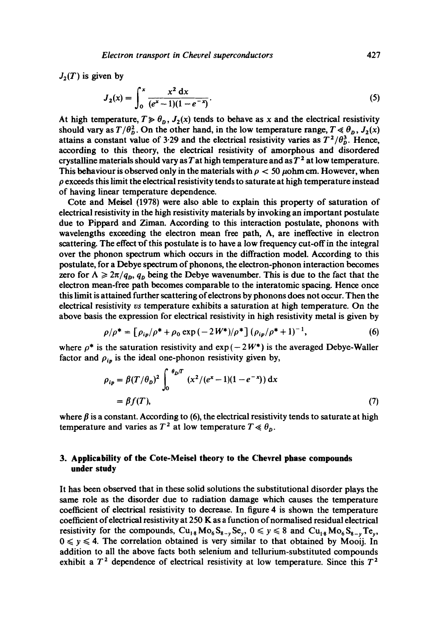$J_2(T)$  is given by

$$
J_2(x) = \int_0^x \frac{x^2 dx}{(e^x - 1)(1 - e^{-x})}.
$$
 (5)

At high temperature,  $T \gg \theta_0$ ,  $J_2(x)$  tends to behave as x and the electrical resistivity should vary as  $T/\theta_n^2$ . On the other hand, in the low temperature range,  $T \ll \theta_n$ ,  $J_2(x)$ attains a constant value of 3.29 and the electrical resistivity varies as  $T^2/\theta_0^3$ . Hence, according to this theory, the electrical resistivity of amorphous and disordered crystalline materials should vary as T at high temperature and as  $T^2$  at low temperature. This behaviour is observed only in the materials with  $\rho < 50 \mu$ ohm cm. However, when  $\rho$  exceeds this limit the electrical resistivity tends to saturate at high temperature instead of having linear temperature dependence.

Cote and Meisel (1978) were also able to explain this property of saturation of electrical resistivity in the high resistivity materials by invoking an important postulate due to Pippard and Ziman. According to this interaction postulate, phonons with wavelengths exceeding the electron mean free path,  $\Lambda$ , are ineffective in electron scattering. The effect of this postulate is to have a low frequency cut-off in the integral over the phonon spectrum which occurs in the diffraction model. According to this postulate, for a Debye spectrum of phonons, the electron-phonon interaction becomes zero for  $\Lambda \geq 2\pi/q_0$ ,  $q_0$  being the Debye wavenumber. This is due to the fact that the electron mean-free path becomes comparable to the interatomic spacing. Hence once this limit is attained further scattering of electrons by phonons does not occur. Then the electrical resistivity *vs* temperature exhibits a saturation at high temperature. On the above basis the expression for electrical resistivity in high resistivity metal is given by

$$
\rho/\rho^* = \left[\rho_{ip}/\rho^* + \rho_0 \exp\left(-2W^*\right)/\rho^*\right] (\rho_{ip}/\rho^* + 1)^{-1},\tag{6}
$$

where  $\rho^*$  is the saturation resistivity and  $\exp(-2W^*)$  is the averaged Debye-Waller factor and  $\rho_{ip}$  is the ideal one-phonon resistivity given by,

$$
\rho_{ip} = \beta (T/\theta_D)^2 \int_0^{\theta_D/T} (x^2/(e^x - 1)(1 - e^{-x})) dx
$$
  
=  $\beta f(T)$ , (7)

where  $\beta$  is a constant. According to (6), the electrical resistivity tends to saturate at high temperature and varies as  $T^2$  at low temperature  $T \ll \theta_p$ .

# **3. Applicability of the Cote-Meisel theory to the Chevrel phase compounds under study**

It has been observed that in these solid solutions the substitutional disorder plays the same role as the disorder due to radiation damage which causes the temperature coefficient of electrical resistivity to decrease. In figure 4 is shown the temperature coefficient of electrical resistivity at 250 K as a function of normalised residual electrical resistivity for the compounds,  $Cu_{18}Mo_{6}S_{8-y}Se_{y}$ ,  $0 \le y \le 8$  and  $Cu_{18}Mo_{6}S_{8-y}Te_{y}$ ,  $0 \leq y \leq 4$ . The correlation obtained is very similar to that obtained by Mooij. In addition to all the above facts both selenium and tellurium-substituted compounds exhibit a  $T^2$  dependence of electrical resistivity at low temperature. Since this  $T^2$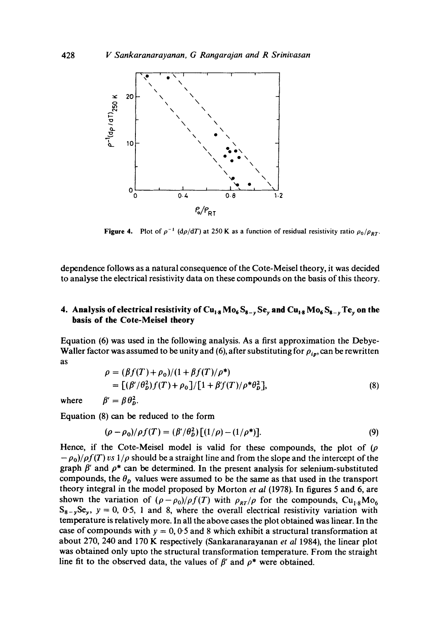

**Figure 4.** Plot of  $\rho^{-1}$  (d $\rho/dT$ ) at 250 K as a function of residual resistivity ratio  $\rho_0/\rho_{BT}$ .

**dependence follows as a natural consequence of the Cote-Meisel theory, it was decided to analyse the electrical resistivity data on these compounds on the basis of this theory.** 

# **4. Analysis of electrical resistivity of Cu<sub>18</sub> Mo<sub>6</sub> S<sub>8-y</sub> Se<sub>y</sub> and Cu<sub>18</sub> Mo<sub>6</sub> S<sub>8-y</sub> Te<sub>y</sub> on the basis of the Cote-Meisel theory**

**Equation (6) was used in the following analysis. As a first approximation the Debye-Waller factor was assumed to be unity and (6), after substituting for**  $\rho_{ip}$ **, can be rewritten as** 

$$
\rho = (\beta f(T) + \rho_0)/(1 + \beta f(T)/\rho^*)
$$
  
= 
$$
[(\beta'/\theta_D^2) f(T) + \rho_0]/[1 + \beta' f(T)/\rho^* \theta_D^2],
$$
 (8)

where  $\beta' = \beta \theta_{\rm b}^2$ .

**Equation (8) can be reduced to the form** 

$$
(\rho - \rho_0) / \rho f(T) = (\beta' / \theta_D^2) [(1/\rho) - (1/\rho^*)]. \tag{9}
$$

Hence, if the Cote-Meisel model is valid for these compounds, the plot of  $(\rho)$  $(-\rho_0)/\rho f(T)$  vs  $1/\rho$  should be a straight line and from the slope and the intercept of the graph  $\beta'$  and  $\rho^*$  can be determined. In the present analysis for selenium-substituted compounds, the  $\theta_{\rho}$  values were assumed to be the same as that used in the transport **theory integral in the model proposed by Morton** *et al* **(1978). In figures 5 and 6, are**  shown the variation of  $(\rho - \rho_0)/\rho f(T)$  with  $\rho_{RT}/\rho$  for the compounds,  $Cu_{1.8}Mo_6$  $S_{8-y}S_{y}$ ,  $y = 0$ , 0.5, 1 and 8, where the overall electrical resistivity variation with **temperature is relatively more. In all the above cases the plot obtained was linear. In the**  case of compounds with  $y = 0, 0.5$  and 8 which exhibit a structural transformation at **about 270, 240 and 170 K respectively (Sankaranarayanan** *et al* **1984), the linear plot was obtained only upto the structural transformation temperature. From the straight**  line fit to the observed data, the values of  $\beta'$  and  $\rho^*$  were obtained.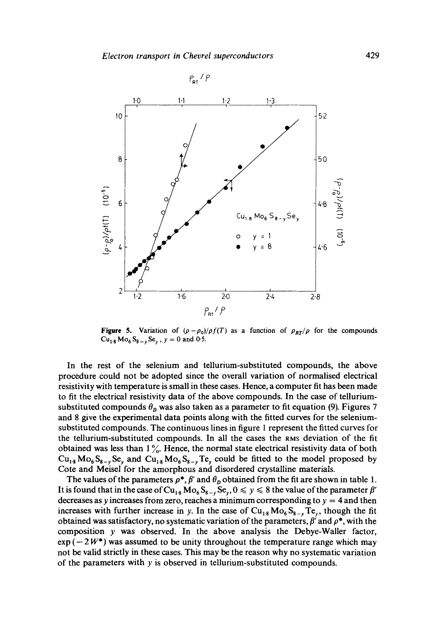

**Figure 5.** Variation of  $(\rho - \rho_0)/\rho f(T)$  as a function of  $\rho_{RT}/\rho$  for the compounds  $Cu_{1.8} Mo_{6}S_{8-v}Se_{v}$ ,  $y = 0$  and 0.5.

In the rest of the selenium and tellurium-substituted compounds, the above procedure could not be adopted since the overall variation of normalised electrical resistivity with temperature is small in these cases. Hence, a computer fit has been made to fit the electrical resistivity data of the above compounds. In the case of telluriumsubstituted compounds  $\theta_p$  was also taken as a parameter to fit equation (9). Figures 7 and 8 give the experimental data points along with the fitted curves for the seleniumsubstituted compounds. The continuous lines in figure 1 represent the fitted curves for the tellurium-substituted compounds. In all the cases the RMS deviation of the fit obtained was less than  $1\%$ . Hence, the normal state electrical resistivity data of both  $Cu_{18}Mo_{6}S_{8-y}Se_{y}$  and  $Cu_{18}Mo_{6}S_{8-y}Te_{y}$  could be fitted to the model proposed by Cote and Meisel for the amorphous and disordered crystalline materials.

The values of the parameters  $\rho^*$ ,  $\beta'$  and  $\theta_D$  obtained from the fit are shown in table 1. It is found that in the case of  $Cu_{18} Mo_6S_{8-y}Se_y, 0 \le y \le 8$  the value of the parameter  $\beta'$ decreases as y increases from zero, reaches a minimum corresponding to  $y = 4$  and then increases with further increase in y. In the case of  $Cu_{18} Mo_6S_{8-y}Te_y$ , though the fit obtained was satisfactory, no systematic variation of the parameters,  $\beta'$  and  $\rho^*$ , with the composition y was observed. In the above analysis the Debye-Waller factor,  $\exp(-2W^*)$  was assumed to be unity throughout the temperature range which may not be valid strictly in these cases. This may be the reason why no systematic variation of the parameters with y is observed in tellurium-substituted compounds.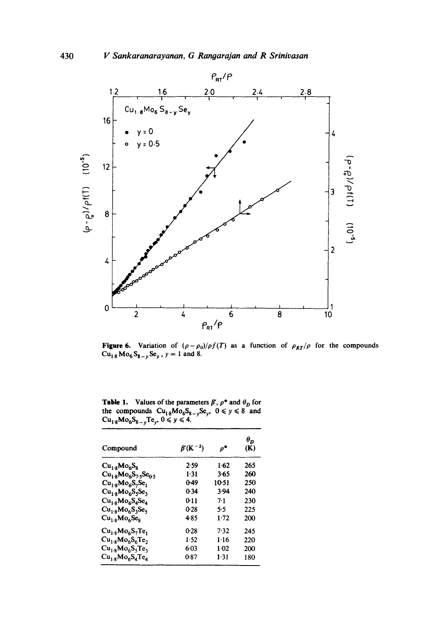

Figure 6. Variation of  $(\rho - \rho_0)/\rho f(T)$  as a function of  $\rho_{RT}/\rho$  for the compounds  $Cu_{1.8} Mo_{6}S_{8-v}Se_{v}$ ,  $y = 1$  and 8.

**Table 1.** Values of the parameters  $\beta'$ ,  $\rho^*$  and  $\theta_D$  for the compounds  $Cu_{1.8}Mo_{6}S_{8-\nu}Se_{\nu}$ ,  $0 \le y \le 8$  and  $Cu_{1.8}Mo_{6}S_{8-v}Te_{v}$ ,  $0 \le y \le 4$ .

| Compound                        | $\beta$ '(K <sup>-2</sup> ) | p*     | $\theta_{D}$<br>(K) |
|---------------------------------|-----------------------------|--------|---------------------|
| $Cu_{1.9}Mo_{6}S_{8}$           | 2.59                        | 1.62   | 265                 |
| $Cu_{1.8}Mo_{6}S_{7.5}Se_{0.5}$ | 1-31                        | 3.65   | 260                 |
| $Cu_{1.8}Mo_{6}S_{7}Se_{1}$     | 0-49                        | 10-51  | 250                 |
| $Cu_{1.8}Mo_{6}S_{5}Se_{3}$     | 0.34                        | 3.94   | 240                 |
| $Cu_{1:8}Mo_{6}S_{4}Se_{4}$     | 0-11                        | 7.1    | 230                 |
| $Cu_{1:8}Mo_{6}S_{3}Se_{5}$     | 0-28                        | 5.5    | 225                 |
| $Cu_{1.9}Mo_{6}Se_{9}$          | 485                         | $1-72$ | 200                 |
| $Cu_{1.8}Mo_{6}S_{7}Te_{1}$     | 0-28                        | 7.32   | 245                 |
| $Cu_{1.8}Mo_{6}S_{6}Te_{2}$     | $1-52$                      | 1.16   | 220                 |
| $Cu_{1.8}Mo_{6}S_{5}Te_{3}$     | 6-03                        | $1-02$ | 200                 |
| $Cu_{1.8}Mo_{6}S_{4}Te_{4}$     | 087                         | 1.31   | 180                 |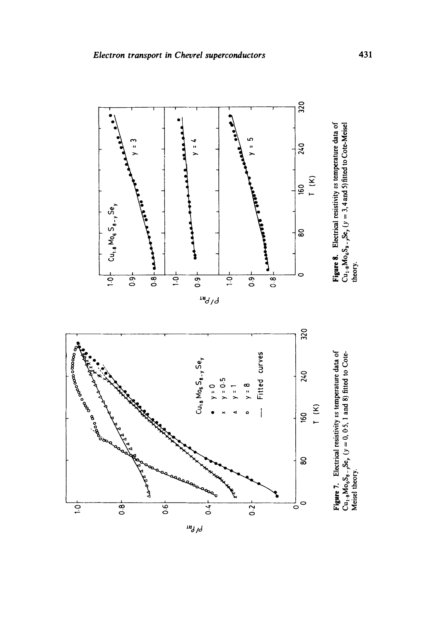